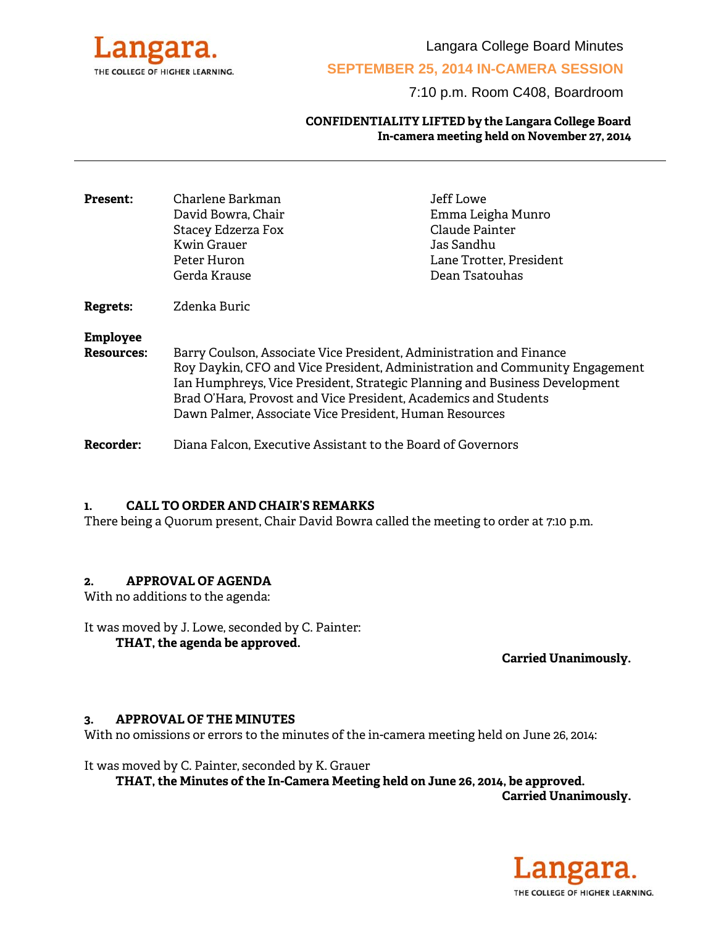

Langara College Board Minutes

# **SEPTEMBER 25, 2014 IN-CAMERA SESSION**

7:10 p.m. Room C408, Boardroom

### **CONFIDENTIALITY LIFTED by the Langara College Board In-camera meeting held on November 27, 2014**

| <b>Present:</b>                      | Charlene Barkman<br>David Bowra, Chair<br>Stacey Edzerza Fox<br>Kwin Grauer<br>Peter Huron<br>Gerda Krause                                                                                                                                                                                                                                                    | Jeff Lowe<br>Emma Leigha Munro<br>Claude Painter<br>Jas Sandhu<br>Lane Trotter, President<br>Dean Tsatouhas |
|--------------------------------------|---------------------------------------------------------------------------------------------------------------------------------------------------------------------------------------------------------------------------------------------------------------------------------------------------------------------------------------------------------------|-------------------------------------------------------------------------------------------------------------|
| <b>Regrets:</b>                      | Zdenka Buric                                                                                                                                                                                                                                                                                                                                                  |                                                                                                             |
| <b>Employee</b><br><b>Resources:</b> | Barry Coulson, Associate Vice President, Administration and Finance<br>Roy Daykin, CFO and Vice President, Administration and Community Engagement<br>Ian Humphreys, Vice President, Strategic Planning and Business Development<br>Brad O'Hara, Provost and Vice President, Academics and Students<br>Dawn Palmer, Associate Vice President, Human Resources |                                                                                                             |
| <b>Recorder:</b>                     | Diana Falcon, Executive Assistant to the Board of Governors                                                                                                                                                                                                                                                                                                   |                                                                                                             |

## **1. CALL TO ORDER AND CHAIR'S REMARKS**

There being a Quorum present, Chair David Bowra called the meeting to order at 7:10 p.m.

### **2. APPROVAL OF AGENDA**

With no additions to the agenda:

It was moved by J. Lowe, seconded by C. Painter: **THAT, the agenda be approved.** 

**Carried Unanimously.**

### **3. APPROVAL OF THE MINUTES**

With no omissions or errors to the minutes of the in-camera meeting held on June 26, 2014:

It was moved by C. Painter, seconded by K. Grauer

 **THAT, the Minutes of the In-Camera Meeting held on June 26, 2014, be approved. Carried Unanimously.** 

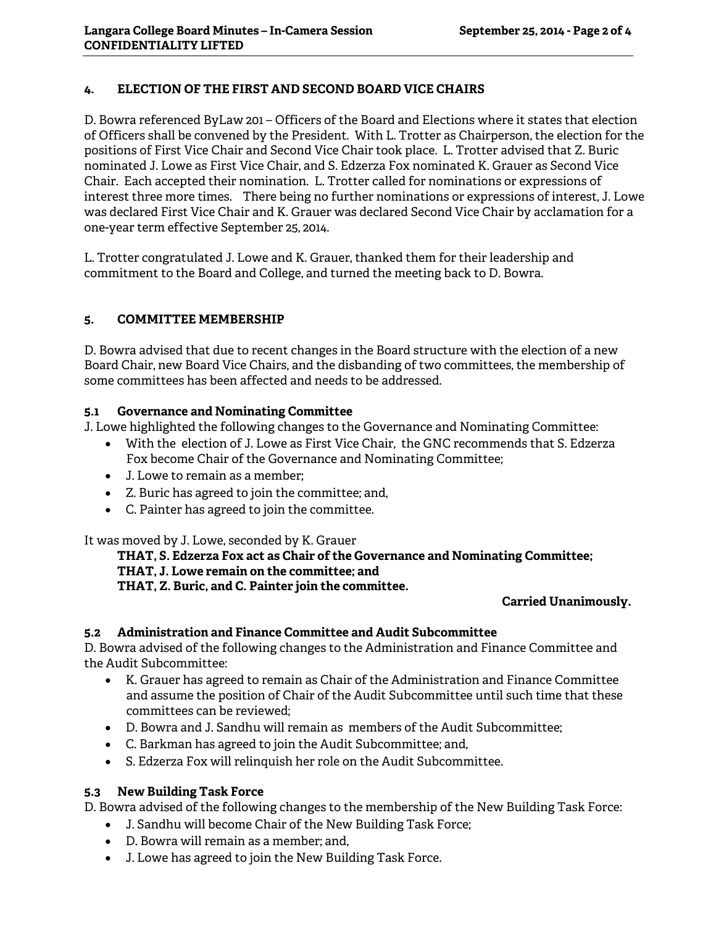# **4. ELECTION OF THE FIRST AND SECOND BOARD VICE CHAIRS**

D. Bowra referenced ByLaw 201 – Officers of the Board and Elections where it states that election of Officers shall be convened by the President. With L. Trotter as Chairperson, the election for the positions of First Vice Chair and Second Vice Chair took place. L. Trotter advised that Z. Buric nominated J. Lowe as First Vice Chair, and S. Edzerza Fox nominated K. Grauer as Second Vice Chair. Each accepted their nomination. L. Trotter called for nominations or expressions of interest three more times. There being no further nominations or expressions of interest, J. Lowe was declared First Vice Chair and K. Grauer was declared Second Vice Chair by acclamation for a one-year term effective September 25, 2014.

L. Trotter congratulated J. Lowe and K. Grauer, thanked them for their leadership and commitment to the Board and College, and turned the meeting back to D. Bowra.

# **5. COMMITTEE MEMBERSHIP**

D. Bowra advised that due to recent changes in the Board structure with the election of a new Board Chair, new Board Vice Chairs, and the disbanding of two committees, the membership of some committees has been affected and needs to be addressed.

# **5.1 Governance and Nominating Committee**

J. Lowe highlighted the following changes to the Governance and Nominating Committee:

- With the election of J. Lowe as First Vice Chair, the GNC recommends that S. Edzerza Fox become Chair of the Governance and Nominating Committee;
- J. Lowe to remain as a member;
- Z. Buric has agreed to join the committee; and,
- C. Painter has agreed to join the committee.

It was moved by J. Lowe, seconded by K. Grauer

**THAT, S. Edzerza Fox act as Chair of the Governance and Nominating Committee; THAT, J. Lowe remain on the committee; and THAT, Z. Buric, and C. Painter join the committee.** 

**Carried Unanimously.** 

# **5.2 Administration and Finance Committee and Audit Subcommittee**

D. Bowra advised of the following changes to the Administration and Finance Committee and the Audit Subcommittee:

- K. Grauer has agreed to remain as Chair of the Administration and Finance Committee and assume the position of Chair of the Audit Subcommittee until such time that these committees can be reviewed;
- D. Bowra and J. Sandhu will remain as members of the Audit Subcommittee;
- C. Barkman has agreed to join the Audit Subcommittee; and,
- S. Edzerza Fox will relinquish her role on the Audit Subcommittee.

# **5.3 New Building Task Force**

D. Bowra advised of the following changes to the membership of the New Building Task Force:

- J. Sandhu will become Chair of the New Building Task Force;
- D. Bowra will remain as a member; and,
- J. Lowe has agreed to join the New Building Task Force.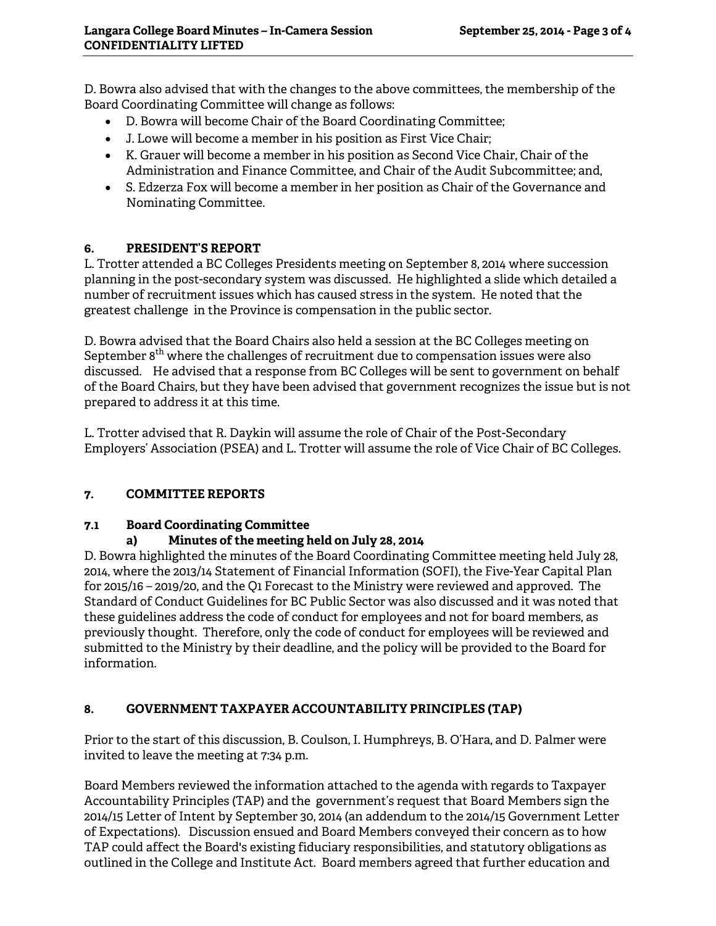D. Bowra also advised that with the changes to the above committees, the membership of the Board Coordinating Committee will change as follows:

- D. Bowra will become Chair of the Board Coordinating Committee;
- J. Lowe will become a member in his position as First Vice Chair;
- K. Grauer will become a member in his position as Second Vice Chair, Chair of the Administration and Finance Committee, and Chair of the Audit Subcommittee; and,
- S. Edzerza Fox will become a member in her position as Chair of the Governance and Nominating Committee.

# **6. PRESIDENT'S REPORT**

L. Trotter attended a BC Colleges Presidents meeting on September 8, 2014 where succession planning in the post-secondary system was discussed. He highlighted a slide which detailed a number of recruitment issues which has caused stress in the system. He noted that the greatest challenge in the Province is compensation in the public sector.

D. Bowra advised that the Board Chairs also held a session at the BC Colleges meeting on September 8<sup>th</sup> where the challenges of recruitment due to compensation issues were also discussed. He advised that a response from BC Colleges will be sent to government on behalf of the Board Chairs, but they have been advised that government recognizes the issue but is not prepared to address it at this time.

L. Trotter advised that R. Daykin will assume the role of Chair of the Post-Secondary Employers' Association (PSEA) and L. Trotter will assume the role of Vice Chair of BC Colleges.

# **7. COMMITTEE REPORTS**

# **7.1 Board Coordinating Committee**

# **a) Minutes of the meeting held on July 28, 2014**

D. Bowra highlighted the minutes of the Board Coordinating Committee meeting held July 28, 2014, where the 2013/14 Statement of Financial Information (SOFI), the Five-Year Capital Plan for 2015/16 – 2019/20, and the Q1 Forecast to the Ministry were reviewed and approved. The Standard of Conduct Guidelines for BC Public Sector was also discussed and it was noted that these guidelines address the code of conduct for employees and not for board members, as previously thought. Therefore, only the code of conduct for employees will be reviewed and submitted to the Ministry by their deadline, and the policy will be provided to the Board for information.

# **8. GOVERNMENT TAXPAYER ACCOUNTABILITY PRINCIPLES (TAP)**

Prior to the start of this discussion, B. Coulson, I. Humphreys, B. O'Hara, and D. Palmer were invited to leave the meeting at 7:34 p.m.

Board Members reviewed the information attached to the agenda with regards to Taxpayer Accountability Principles (TAP) and the government's request that Board Members sign the 2014/15 Letter of Intent by September 30, 2014 (an addendum to the 2014/15 Government Letter of Expectations). Discussion ensued and Board Members conveyed their concern as to how TAP could affect the Board's existing fiduciary responsibilities, and statutory obligations as outlined in the College and Institute Act. Board members agreed that further education and